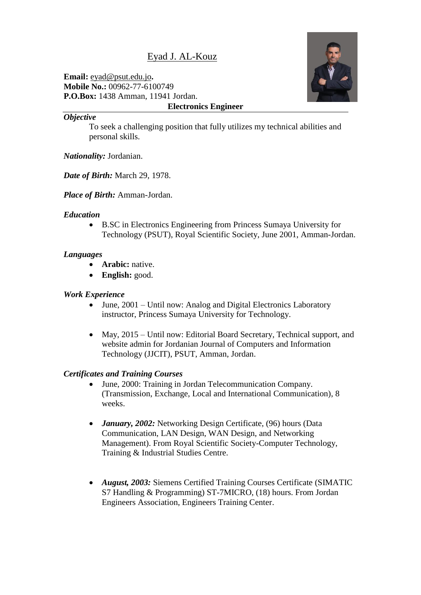# Eyad J. AL-Kouz

**Email:** eyad@psut.edu.jo**. Mobile No.:** 00962-77-6100749 **P.O.Box:** 1438 Amman, 11941 Jordan. **Electronics Engineer**



#### *Objective*

To seek a challenging position that fully utilizes my technical abilities and personal skills.

*Nationality:* Jordanian.

*Date of Birth:* March 29, 1978.

*Place of Birth:* Amman-Jordan.

#### *Education*

 B.SC in Electronics Engineering from Princess Sumaya University for Technology (PSUT), Royal Scientific Society, June 2001, Amman-Jordan.

## *Languages*

- **Arabic:** native.
- English: good.

#### *Work Experience*

- June, 2001 Until now: Analog and Digital Electronics Laboratory instructor, Princess Sumaya University for Technology.
- May, 2015 Until now: Editorial Board Secretary, Technical support, and website admin for Jordanian Journal of Computers and Information Technology (JJCIT), PSUT, Amman, Jordan.

## *Certificates and Training Courses*

- June, 2000: Training in Jordan Telecommunication Company. (Transmission, Exchange, Local and International Communication), 8 weeks.
- *January, 2002:* Networking Design Certificate, (96) hours (Data Communication, LAN Design, WAN Design, and Networking Management). From Royal Scientific Society-Computer Technology, Training & Industrial Studies Centre.
- *August, 2003:* Siemens Certified Training Courses Certificate (SIMATIC S7 Handling & Programming) ST-7MICRO, (18) hours. From Jordan Engineers Association, Engineers Training Center.